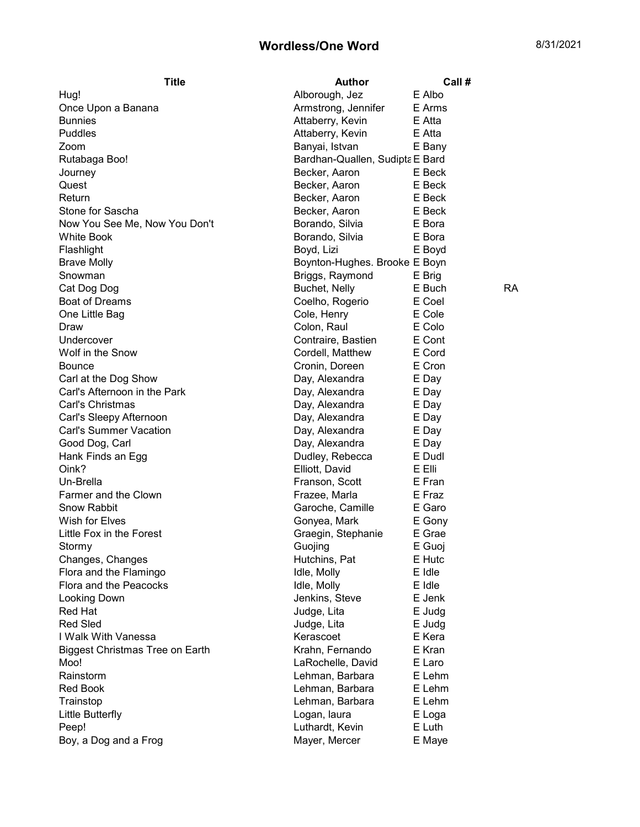## Wordless/One Word 8/31/2021

| Title                                  | <b>Author</b>                   | Call # |           |
|----------------------------------------|---------------------------------|--------|-----------|
| Hug!                                   | Alborough, Jez                  | E Albo |           |
| Once Upon a Banana                     | Armstrong, Jennifer             | E Arms |           |
| <b>Bunnies</b>                         | Attaberry, Kevin                | E Atta |           |
| Puddles                                | Attaberry, Kevin                | E Atta |           |
| Zoom                                   | Banyai, Istvan                  | E Bany |           |
| Rutabaga Boo!                          | Bardhan-Quallen, Sudipta E Bard |        |           |
| Journey                                | Becker, Aaron                   | E Beck |           |
| Quest                                  | Becker, Aaron                   | E Beck |           |
| Return                                 | Becker, Aaron                   | E Beck |           |
| Stone for Sascha                       | Becker, Aaron                   | E Beck |           |
| Now You See Me, Now You Don't          | Borando, Silvia                 | E Bora |           |
| White Book                             | Borando, Silvia                 | E Bora |           |
| Flashlight                             | Boyd, Lizi                      | E Boyd |           |
| <b>Brave Molly</b>                     | Boynton-Hughes. Brooke E Boyn   |        |           |
| Snowman                                | Briggs, Raymond                 | E Brig |           |
| Cat Dog Dog                            | Buchet, Nelly                   | E Buch | <b>RA</b> |
| <b>Boat of Dreams</b>                  | Coelho, Rogerio                 | E Coel |           |
| One Little Bag                         | Cole, Henry                     | E Cole |           |
| Draw                                   | Colon, Raul                     | E Colo |           |
| Undercover                             | Contraire, Bastien              | E Cont |           |
| Wolf in the Snow                       | Cordell, Matthew                | E Cord |           |
| Bounce                                 | Cronin, Doreen                  | E Cron |           |
| Carl at the Dog Show                   | Day, Alexandra                  | E Day  |           |
| Carl's Afternoon in the Park           | Day, Alexandra                  | E Day  |           |
| Carl's Christmas                       | Day, Alexandra                  | E Day  |           |
| Carl's Sleepy Afternoon                | Day, Alexandra                  | E Day  |           |
| <b>Carl's Summer Vacation</b>          | Day, Alexandra                  | E Day  |           |
| Good Dog, Carl                         | Day, Alexandra                  | E Day  |           |
| Hank Finds an Egg                      | Dudley, Rebecca                 | E Dudl |           |
| Oink?                                  | Elliott, David                  | E Elli |           |
| Un-Brella                              | Franson, Scott                  | E Fran |           |
| Farmer and the Clown                   | Frazee, Marla                   | E Fraz |           |
| <b>Snow Rabbit</b>                     | Garoche, Camille                | E Garo |           |
| Wish for Elves                         | Gonyea, Mark                    | E Gony |           |
| Little Fox in the Forest               | Graegin, Stephanie              | E Grae |           |
| Stormy                                 | Guojing                         | E Guoj |           |
| Changes, Changes                       | Hutchins, Pat                   | E Hutc |           |
| Flora and the Flamingo                 | Idle, Molly                     | E Idle |           |
| Flora and the Peacocks                 | Idle, Molly                     | E Idle |           |
| Looking Down                           | Jenkins, Steve                  | E Jenk |           |
| Red Hat                                | Judge, Lita                     | E Judg |           |
| <b>Red Sled</b>                        | Judge, Lita                     | E Judg |           |
| I Walk With Vanessa                    | Kerascoet                       | E Kera |           |
| <b>Biggest Christmas Tree on Earth</b> | Krahn, Fernando                 | E Kran |           |
| Moo!                                   | LaRochelle, David               | E Laro |           |
| Rainstorm                              | Lehman, Barbara                 | E Lehm |           |
| Red Book                               | Lehman, Barbara                 | E Lehm |           |
| Trainstop                              | Lehman, Barbara                 | E Lehm |           |
| Little Butterfly                       | Logan, laura                    | E Loga |           |
| Peep!                                  | Luthardt, Kevin                 | E Luth |           |
| Boy, a Dog and a Frog                  | Mayer, Mercer                   |        |           |
|                                        |                                 | E Maye |           |